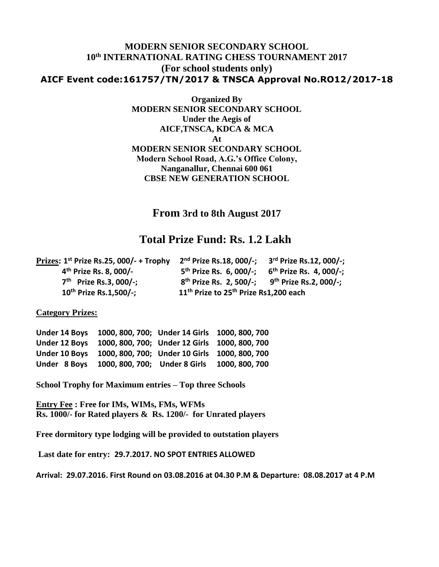### **MODERN SENIOR SECONDARY SCHOOL 10th INTERNATIONAL RATING CHESS TOURNAMENT 2017 (For school students only) AICF Event code:161757/TN/2017 & TNSCA Approval No.RO12/2017-18**

**Organized By MODERN SENIOR SECONDARY SCHOOL Under the Aegis of AICF,TNSCA, KDCA & MCA At MODERN SENIOR SECONDARY SCHOOL Modern School Road, A.G.'s Office Colony, Nanganallur, Chennai 600 061 CBSE NEW GENERATION SCHOOL**

**From 3rd to 8th August 2017**

## **Total Prize Fund: Rs. 1.2 Lakh**

| Prizes: $1st$ Prize Rs.25, 000/- + Trophy | 2 <sup>nd</sup> Prize Rs.18, 000/-;                             | 3 <sup>rd</sup> Prize Rs.12, 000/-; |
|-------------------------------------------|-----------------------------------------------------------------|-------------------------------------|
| 4 <sup>th</sup> Prize Rs. 8, 000/-        | 5 <sup>th</sup> Prize Rs. 6, 000/-;                             | 6 <sup>th</sup> Prize Rs. 4, 000/-; |
| $7th$ Prize Rs.3, 000/-;                  | $8^{th}$ Prize Rs. 2, 500/-; 9 <sup>th</sup> Prize Rs.2, 000/-; |                                     |
| 10 <sup>th</sup> Prize Rs.1,500/-;        | 11 <sup>th</sup> Prize to 25 <sup>th</sup> Prize Rs1,200 each   |                                     |

#### **Category Prizes:**

**Under 14 Boys 1000, 800, 700; Under 14 Girls 1000, 800, 700 Under 12 Boys 1000, 800, 700; Under 12 Girls 1000, 800, 700 Under 10 Boys 1000, 800, 700; Under 10 Girls 1000, 800, 700 Under 8 Boys 1000, 800, 700; Under 8 Girls 1000, 800, 700**

**School Trophy for Maximum entries – Top three Schools**

**Entry Fee : Free for IMs, WIMs, FMs, WFMs Rs. 1000/- for Rated players & Rs. 1200/- for Unrated players**

**Free dormitory type lodging will be provided to outstation players**

**Last date for entry: 29.7.2017. NO SPOT ENTRIES ALLOWED**

**Arrival: 29.07.2016. First Round on 03.08.2016 at 04.30 P.M & Departure: 08.08.2017 at 4 P.M**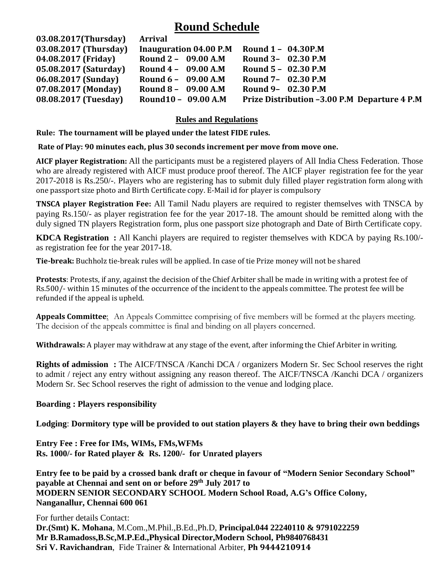## **Round Schedule**

| 03.08.2017(Thursday) Arrival |                        |                                              |
|------------------------------|------------------------|----------------------------------------------|
| 03.08.2017 (Thursday)        | Inauguration 04.00 P.M | Round 1 - 04.30P.M                           |
| 04.08.2017 (Friday)          | Round 2 - 09.00 A.M    | Round 3- 02.30 P.M                           |
| 05.08.2017 (Saturday)        | Round $4 - 09.00$ A.M  | Round 5 - 02.30 P.M                          |
| 06.08.2017 (Sunday)          | Round $6 - 09.00$ A.M  | Round 7- 02.30 P.M                           |
| 07.08.2017 (Monday)          | Round 8 - 09.00 A.M    | Round 9- 02.30 P.M                           |
| 08.08.2017 (Tuesday)         | Round10 - 09.00 A.M    | Prize Distribution -3.00 P.M Departure 4 P.M |

### **Rules and Regulations**

 **Rule: The tournament will be played under the latest FIDE rules.**

#### **Rate of Play: 90 minutes each, plus 30 seconds increment per move from move one.**

**AICF player Registration:** All the participants must be a registered players of All India Chess Federation. Those who are already registered with AICF must produce proof thereof. The AICF playerregistration fee for the year 2017-2018 is Rs.250/-. Players who are registering has to submit duly filled player registration form along with one passport size photo and Birth Certificate copy. E-Mail id for player is compulsory

**TNSCA player Registration Fee:** All Tamil Nadu players are required to register themselves with TNSCA by paying Rs.150/- as player registration fee for the year 2017-18. The amount should be remitted along with the duly signed TN players Registration form, plus one passport size photograph and Date of Birth Certificate copy.

**KDCA Registration :** All Kanchi players are required to register themselves with KDCA by paying Rs.100/ as registration fee for the year 2017-18.

**Tie-break:** Buchholz tie-break rules will be applied. In case of tie Prize money will not be shared

**Protests**: Protests, if any, against the decision of the Chief Arbiter shall be made in writing with a protest fee of Rs.500/- within 15 minutes of the occurrence of the incident to the appeals committee. The protest fee will be refunded if the appeal is upheld.

**Appeals Committee**: An Appeals Committee comprising of five members will be formed at the players meeting. The decision of the appeals committee is final and binding on all players concerned.

**Withdrawals:** A player may withdraw at any stage of the event, after informing the Chief Arbiter in writing.

**Rights of admission :** The AICF/TNSCA /Kanchi DCA / organizers Modern Sr. Sec School reserves the right to admit / reject any entry without assigning any reason thereof. The AICF/TNSCA /Kanchi DCA / organizers Modern Sr. Sec School reserves the right of admission to the venue and lodging place.

#### **Boarding : Players responsibility**

**Lodging**: **Dormitory type will be provided to out station players & they have to bring their own beddings**

**Entry Fee : Free for IMs, WIMs, FMs,WFMs Rs. 1000/- for Rated player & Rs. 1200/- for Unrated players** 

**Entry fee to be paid by a crossed bank draft or cheque in favour of "Modern Senior Secondary School" payable at Chennai and sent on or before 29 th July 2017 to MODERN SENIOR SECONDARY SCHOOL Modern School Road, A.G's Office Colony, Nanganallur, Chennai 600 061** 

For further details Contact: **Dr.(Smt) K. Mohana**, M.Com.,M.Phil.,B.Ed.,Ph.D, **Principal.044 22240110 & 9791022259 Mr B.Ramadoss,B.Sc,M.P.Ed.,Physical Director,Modern School, Ph9840768431 Sri V. Ravichandran**, Fide Trainer & International Arbiter, **Ph 9444210914**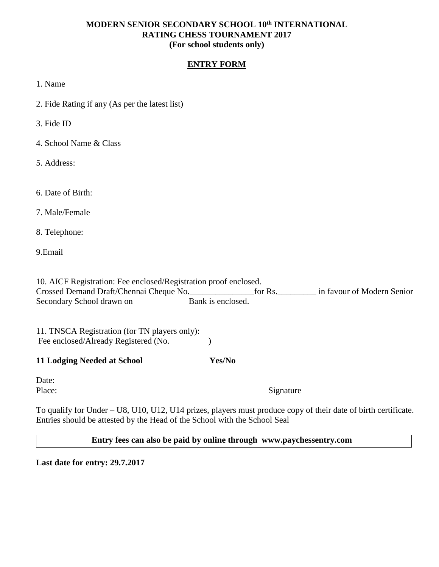#### **MODERN SENIOR SECONDARY SCHOOL 10th INTERNATIONAL RATING CHESS TOURNAMENT 2017 (For school students only)**

#### **ENTRY FORM**

1. Name

2. Fide Rating if any (As per the latest list)

3. Fide ID

4. School Name & Class

5. Address:

6. Date of Birth:

7. Male/Female

8. Telephone:

9.Email

10. AICF Registration: Fee enclosed/Registration proof enclosed. Crossed Demand Draft/Chennai Cheque No. Secondary School drawn on Bank is enclosed.

11. TNSCA Registration (for TN players only): Fee enclosed/Already Registered (No. )

**11 Lodging Needed at School Yes/No**

Date:

Place: Signature

To qualify for Under – U8, U10, U12, U14 prizes, players must produce copy of their date of birth certificate. Entries should be attested by the Head of the School with the School Seal

 **Entry fees can also be paid by online through www.paychessentry.com**

**Last date for entry: 29.7.2017**